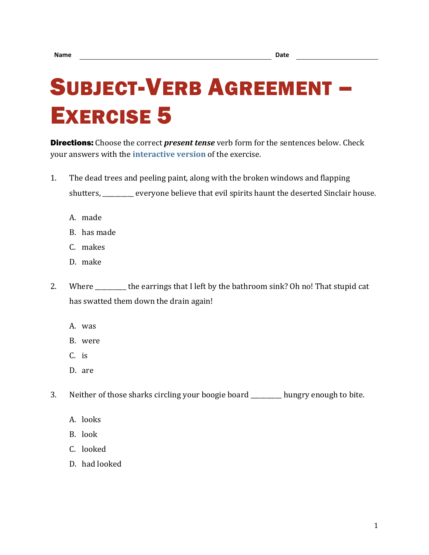## SUBJECT-VERB AGREEMENT – EXERCISE 5

**Directions:** Choose the correct *present tense* verb form for the sentences below. Check your answers with the **[interactive version](https://chompchomp.com/hotpotatoes/sva05.htm)** of the exercise.

- 1. The dead trees and peeling paint, along with the broken windows and flapping shutters, \_\_\_\_\_\_\_\_\_\_ everyone believe that evil spirits haunt the deserted Sinclair house.
	- A. made
	- B. has made
	- C. makes
	- D. make
- 2. Where the earrings that I left by the bathroom sink? Oh no! That stupid cat has swatted them down the drain again!
	- A. was
	- B. were
	- C. is
	- D. are

3. Neither of those sharks circling your boogie board \_\_\_\_\_\_\_\_\_\_ hungry enough to bite.

- A. looks
- B. look
- C. looked
- D. had looked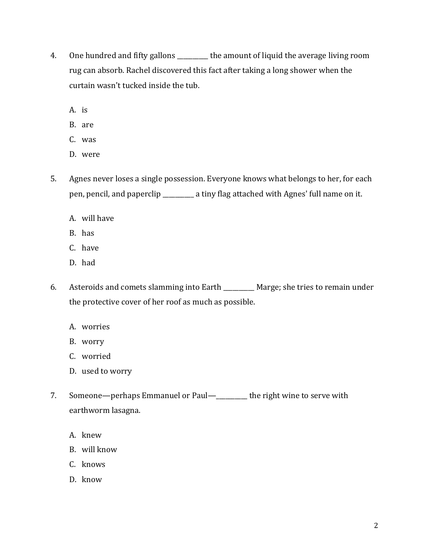- 4. One hundred and fifty gallons \_\_\_\_\_\_\_\_\_\_ the amount of liquid the average living room rug can absorb. Rachel discovered this fact after taking a long shower when the curtain wasn't tucked inside the tub.
	- A. is
	- B. are
	- C. was
	- D. were
- 5. Agnes never loses a single possession. Everyone knows what belongs to her, for each pen, pencil, and paperclip \_\_\_\_\_\_\_\_\_\_ a tiny flag attached with Agnes' full name on it.
	- A. will have
	- B. has
	- C. have
	- D. had
- 6. Asteroids and comets slamming into Earth \_\_\_\_\_\_\_\_\_\_ Marge; she tries to remain under the protective cover of her roof as much as possible.
	- A. worries
	- B. worry
	- C. worried
	- D. used to worry
- 7. Someone—perhaps Emmanuel or Paul—\_\_\_\_\_\_\_\_ the right wine to serve with earthworm lasagna.
	- A. knew
	- B. will know
	- C. knows
	- D. know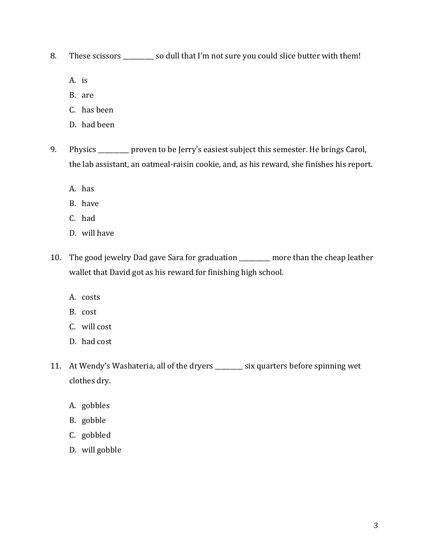8. These scissors \_\_\_\_\_\_\_\_\_\_ so dull that I'm not sure you could slice butter with them!

- A. is
- B. are
- C. has been
- D. had been
- 9. Physics \_\_\_\_\_\_\_\_ proven to be Jerry's easiest subject this semester. He brings Carol, the lab assistant, an oatmeal-raisin cookie, and, as his reward, she finishes his report.
	- A. has
	- B. have
	- C. had
	- D. will have
- 10. The good jewelry Dad gave Sara for graduation \_\_\_\_\_\_\_\_\_\_ more than the cheap leather wallet that David got as his reward for finishing high school.
	- A. costs
	- B. cost
	- C. will cost
	- D. had cost
- 11. At Wendy's Washateria, all of the dryers \_\_\_\_\_\_\_\_\_ six quarters before spinning wet clothes dry.
	- A. gobbles
	- B. gobble
	- C. gobbled
	- D. will gobble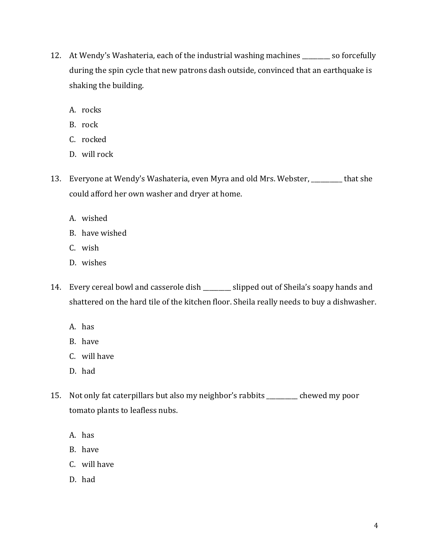- 12. At Wendy's Washateria, each of the industrial washing machines \_\_\_\_\_\_\_\_\_ so forcefully during the spin cycle that new patrons dash outside, convinced that an earthquake is shaking the building.
	- A. rocks
	- B. rock
	- C. rocked
	- D. will rock
- 13. Everyone at Wendy's Washateria, even Myra and old Mrs. Webster, \_\_\_\_\_\_\_\_\_\_ that she could afford her own washer and dryer at home.
	- A. wished
	- B. have wished
	- C. wish
	- D. wishes
- 14. Every cereal bowl and casserole dish \_\_\_\_\_\_\_\_\_ slipped out of Sheila's soapy hands and shattered on the hard tile of the kitchen floor. Sheila really needs to buy a dishwasher.
	- A. has
	- B. have
	- C. will have
	- D. had
- 15. Not only fat caterpillars but also my neighbor's rabbits \_\_\_\_\_\_\_\_\_\_ chewed my poor tomato plants to leafless nubs.
	- A. has
	- B. have
	- C. will have
	- D. had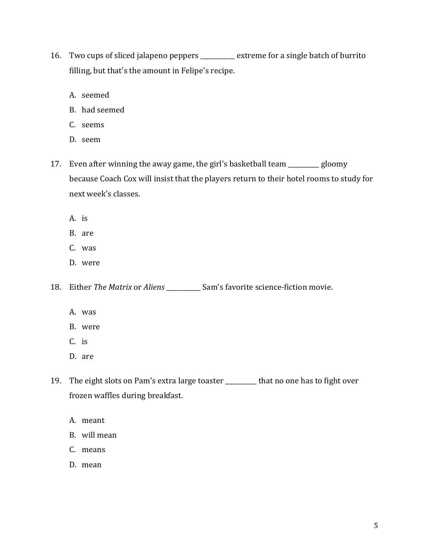- 16. Two cups of sliced jalapeno peppers \_\_\_\_\_\_\_\_\_\_\_ extreme for a single batch of burrito filling, but that's the amount in Felipe's recipe.
	- A. seemed
	- B. had seemed
	- C. seems
	- D. seem
- 17. Even after winning the away game, the girl's basketball team \_\_\_\_\_\_\_\_\_\_ gloomy because Coach Cox will insist that the players return to their hotel rooms to study for next week's classes.
	- A. is
	- B. are
	- C. was
	- D. were

18. Either *The Matrix* or *Aliens* \_\_\_\_\_\_\_\_\_\_\_ Sam's favorite science-fiction movie.

- A. was
- B. were
- C. is
- D. are
- 19. The eight slots on Pam's extra large toaster \_\_\_\_\_\_\_\_\_\_ that no one has to fight over frozen waffles during breakfast.
	- A. meant
	- B. will mean
	- C. means
	- D. mean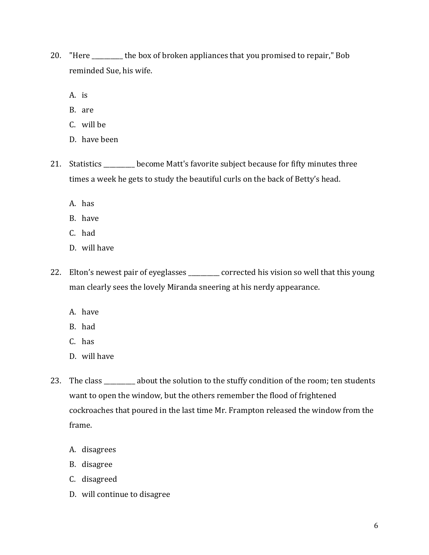- 20. "Here \_\_\_\_\_\_\_\_\_\_ the box of broken appliances that you promised to repair," Bob reminded Sue, his wife.
	- A. is
	- B. are
	- C. will be
	- D. have been
- 21. Statistics \_\_\_\_\_\_\_\_\_ become Matt's favorite subject because for fifty minutes three times a week he gets to study the beautiful curls on the back of Betty's head.
	- A. has
	- B. have
	- C. had
	- D. will have
- 22. Elton's newest pair of eyeglasses \_\_\_\_\_\_\_ corrected his vision so well that this young man clearly sees the lovely Miranda sneering at his nerdy appearance.
	- A. have
	- B. had
	- C. has
	- D. will have
- 23. The class \_\_\_\_\_\_\_\_ about the solution to the stuffy condition of the room; ten students want to open the window, but the others remember the flood of frightened cockroaches that poured in the last time Mr. Frampton released the window from the frame.
	- A. disagrees
	- B. disagree
	- C. disagreed
	- D. will continue to disagree